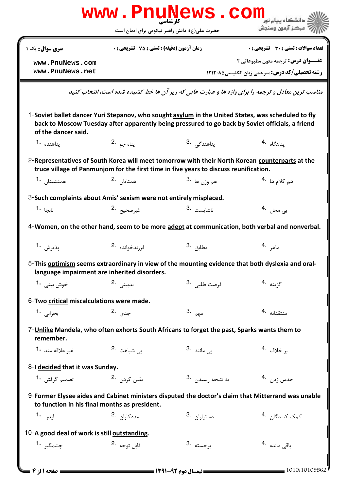| www.PnuNews.com                                                   |                                             |                                                                                                                                                                                                        |                                                                                                      |  |  |  |
|-------------------------------------------------------------------|---------------------------------------------|--------------------------------------------------------------------------------------------------------------------------------------------------------------------------------------------------------|------------------------------------------------------------------------------------------------------|--|--|--|
|                                                                   |                                             | حضرت علی(ع): دانش راهبر نیکویی برای ایمان است                                                                                                                                                          | ' مرڪز آزمون وسنڊش                                                                                   |  |  |  |
| سری سوال : یک ۱                                                   | زمان آزمون (دقیقه) : تستی : 75 ٪ تشریحی : 0 |                                                                                                                                                                                                        | تعداد سوالات : تستى : 30 ٪ تشريحي : 0                                                                |  |  |  |
| www.PnuNews.com<br>www.PnuNews.net                                |                                             |                                                                                                                                                                                                        | <b>عنـــوان درس:</b> ترجمه متون مطبوعاتی ۲<br><b>رشته تحصیلی/کد درس: مترجمی زبان انگلیسی ۱۲۱۲۰۸۵</b> |  |  |  |
|                                                                   |                                             |                                                                                                                                                                                                        | مناسب ترین معادل و ترجمه را برای واژه ها و عبارت هایی که زیر آن ها خط کشیده شده است، انتخاب کنید     |  |  |  |
| of the dancer said.                                               |                                             | 1-Soviet ballet dancer Yuri Stepanov, who sought asylum in the United States, was scheduled to fly<br>back to Moscow Tuesday after apparently being pressured to go back by Soviet officials, a friend |                                                                                                      |  |  |  |
| يناهنده <b>1.</b>                                                 | يناه جو 2.                                  | پناھندگی .3                                                                                                                                                                                            | يناهگاه <sup>4</sup> ۰                                                                               |  |  |  |
|                                                                   |                                             | 2-Representatives of South Korea will meet tomorrow with their North Korean counterparts at the<br>truce village of Panmunjom for the first time in five years to discuss reunification.               |                                                                                                      |  |  |  |
| همنشينان 1.                                                       | همتايان 2.                                  | هم وزن ها <sup>.3</sup>                                                                                                                                                                                | ه <sub>م كلام ها <sup>.4</sup></sub>                                                                 |  |  |  |
| 3-Such complaints about Amis' sexism were not entirely misplaced. |                                             |                                                                                                                                                                                                        |                                                                                                      |  |  |  |
| نا <sub>نحا</sub> <b>.1</b>                                       | غيرصحيح 2.                                  | ناشاىست .3                                                                                                                                                                                             | بى محل   . <sup>4</sup>                                                                              |  |  |  |
|                                                                   |                                             |                                                                                                                                                                                                        | 4-Women, on the other hand, seem to be more adept at communication, both verbal and nonverbal.       |  |  |  |
| پذيرش <b>1.</b>                                                   | فرزندخوانده .2                              | مطابق <sup>.3</sup>                                                                                                                                                                                    | ماهر .4                                                                                              |  |  |  |
| language impairment are inherited disorders.                      |                                             | 5-This optimism seems extraordinary in view of the mounting evidence that both dyslexia and oral-                                                                                                      |                                                                                                      |  |  |  |
| خوش بيني <b>1.</b>                                                | بدبينى .2                                   | فرصت طلبي . <sup>3</sup>                                                                                                                                                                               | گزينه <sup>.4</sup>                                                                                  |  |  |  |
| 6-Two critical miscalculations were made.                         |                                             |                                                                                                                                                                                                        |                                                                                                      |  |  |  |
| بحراني 1.                                                         | جدی .2                                      | مهم .3                                                                                                                                                                                                 | منتقدانه 4.                                                                                          |  |  |  |
| remember.                                                         |                                             | 7-Unlike Mandela, who often exhorts South Africans to forget the past, Sparks wants them to                                                                                                            |                                                                                                      |  |  |  |
| غير علاقه مند <b>1</b>                                            | بے <sub>،</sub> شباهت 2.                    | ب <sub>ی</sub> مانند 3.                                                                                                                                                                                | بر خلاف <sup>.4</sup>                                                                                |  |  |  |
| 8-I decided that it was Sunday.                                   |                                             |                                                                                                                                                                                                        |                                                                                                      |  |  |  |
| تصميم گرفتن <b>1</b>                                              | يقين كردن 2.                                | به نتیجه رسیدن .3                                                                                                                                                                                      | حدس زد <sub>ن</sub> 4.                                                                               |  |  |  |
| to function in his final months as president.                     |                                             |                                                                                                                                                                                                        | 9-Former Elysee aides and Cabinet ministers disputed the doctor's claim that Mitterrand was unable   |  |  |  |
| ايد <sub>ز</sub> <b>1.</b>                                        | مددکا <sub>ر</sub> ان 2.                    | دستيا <sub>ر</sub> ان <sup>.3</sup>                                                                                                                                                                    | كمک کنندگا <sub>ن</sub> <sup>4.</sup>                                                                |  |  |  |
| 10-A good deal of work is still outstanding.                      |                                             |                                                                                                                                                                                                        |                                                                                                      |  |  |  |
| چشمگیر 1.                                                         | قابل توجه 2.                                | برجسته <sup>3</sup> .                                                                                                                                                                                  | باقى ماندە 4.                                                                                        |  |  |  |
| ــــ صفحه 11ز 4 ـ                                                 |                                             |                                                                                                                                                                                                        | = 1010/10109562                                                                                      |  |  |  |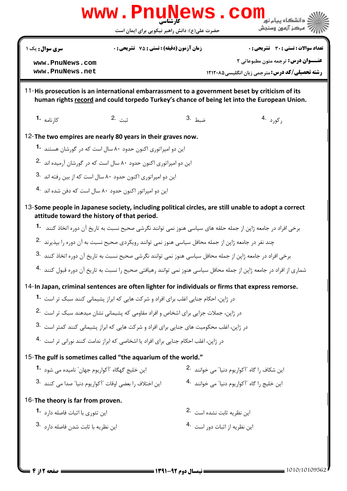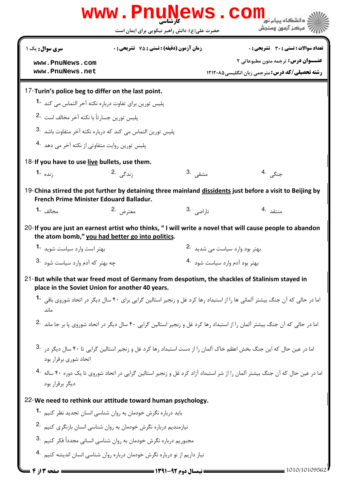| www.PnuNews.com<br>دانشگاه سام نو                                                       |                                                 |                                               |                                                                                                                                         |              |  |  |
|-----------------------------------------------------------------------------------------|-------------------------------------------------|-----------------------------------------------|-----------------------------------------------------------------------------------------------------------------------------------------|--------------|--|--|
|                                                                                         |                                                 | حضرت علی(ع): دانش راهبر نیکویی برای ایمان است | َ مرڪز آزمون وسنڊش                                                                                                                      |              |  |  |
| سری سوال : یک ۱                                                                         | <b>زمان آزمون (دقیقه) : تستی : 75 تشریحی: 0</b> |                                               | تعداد سوالات : تستي : 30 ٪ تشريحي : 0                                                                                                   |              |  |  |
| www.PnuNews.com                                                                         |                                                 |                                               | عنــوان درس: ترجمه متون مطبوعاتی ٢                                                                                                      |              |  |  |
| www.PnuNews.net                                                                         |                                                 |                                               | <b>رشته تحصیلی/کد درس: مترحمی زبان انگلیسی ۱۲۱۲۰۸۵</b>                                                                                  |              |  |  |
| 17-Turin's police beg to differ on the last point.                                      |                                                 |                                               |                                                                                                                                         |              |  |  |
| پلیس تورین برای تفاوت درباره نکته آخر التماس می کند <b>1۰</b>                           |                                                 |                                               |                                                                                                                                         |              |  |  |
| پلیس تورین جسارتاً با نکته آخر مخالف است 2.                                             |                                                 |                                               |                                                                                                                                         |              |  |  |
| پلیس تورین التماس می کند که درباره نکته آخر متفاوت باشد <sup>.3</sup>                   |                                                 |                                               |                                                                                                                                         |              |  |  |
| پلیس تورین روایت متفاوتی از نکته آخر می دهد <sup>4</sup> ۰                              |                                                 |                                               |                                                                                                                                         |              |  |  |
| 18-If you have to use live bullets, use them.                                           |                                                 |                                               |                                                                                                                                         |              |  |  |
| :نده <b>1۰</b>                                                                          | ;ندگے <sub>،</sub> .2                           | مشقى .3                                       | جنگ <i>ی</i> .4                                                                                                                         |              |  |  |
| French Prime Minister Edouard Balladur.                                                 |                                                 |                                               | 19-China stirred the pot further by detaining three mainland dissidents just before a visit to Beijing by                               |              |  |  |
| مخالف <b>1</b> ۰                                                                        | معترض .2                                        | نا <sub>ر</sub> اضی <sup>3</sup> ۰            | منتقد 4.                                                                                                                                |              |  |  |
| the atom bomb," you had better go into politics.                                        |                                                 |                                               | 20-If you are just an earnest artist who thinks, "I will write a novel that will cause people to abandon                                |              |  |  |
| بهتر است وارد سياست شويد 1.                                                             |                                                 |                                               | بهتر بود وارد سياست مي شديد 2.                                                                                                          |              |  |  |
|                                                                                         | چه بهتر که آدم وارد سیاست شود <sup>.3</sup>     |                                               | بهتر بود آدم وارد سياست شود <sup>4</sup> ۰                                                                                              |              |  |  |
| place in the Soviet Union for another 40 years.                                         |                                                 |                                               | 21-But while that war freed most of Germany from despotism, the shackles of Stalinism stayed in                                         |              |  |  |
| ماند                                                                                    |                                                 |                                               | اما در حالی که آن جنگ بیشتر آلمانی ها را از استبداد رها کرد غل و زنجیر استالین گرایی برای ۴۰ سال دیگر در اتحاد شوروی باقی <b>1۰</b>     |              |  |  |
|                                                                                         |                                                 |                                               | اما در حالی که آن جنگ بیشتر آلمان را از استبداد رها کرد غل و زنجیر استالین گرایی ۴۰ سال دیگر در اتحاد شوروی یا بر جا ماند <sup>.2</sup> |              |  |  |
| اتحاد شوری برقرار بود                                                                   |                                                 |                                               | اما در عین حال که این جنگ بخش اعظم خاک آلمان را از دست استبداد رها کرد غل و زنجیر استالین گرایی تا ۴۰ سال دیگر در                       |              |  |  |
| دیگر برقرار بود                                                                         |                                                 |                                               | اما در عین حال که آن جنگ بیشتر آلمان را از شر استبداد آزاد کرد غل و زنجیر استالین گرایی در اتحاد شوروی تا یک دوره ۴۰ ساله 4۰            |              |  |  |
| 22-We need to rethink our attitude toward human psychology.                             |                                                 |                                               |                                                                                                                                         |              |  |  |
| باید درباره نگرش خودمان به روان شناسی انسان تجدید نظر کنیم <sup>1</sup> ۰               |                                                 |                                               |                                                                                                                                         |              |  |  |
| نیازمندیم درباره نگرش خودمان به روان شناسی انسان بازنگری کنیم <sup>2</sup> ۰            |                                                 |                                               |                                                                                                                                         |              |  |  |
| مجبوریم درباره نگرش خودمان به روان شناسی انسانی مجدداً فکر کنیم <sup>.3</sup>           |                                                 |                                               |                                                                                                                                         |              |  |  |
| نیاز داریم از نو درباره نگرش خودمان درباره روان شناسی انسان اندیشه کنیم <sup>۹۰</sup> ۰ |                                                 |                                               |                                                                                                                                         |              |  |  |
|                                                                                         |                                                 | = نیمسال دوم 92-1391 =                        |                                                                                                                                         | 1010/1010956 |  |  |